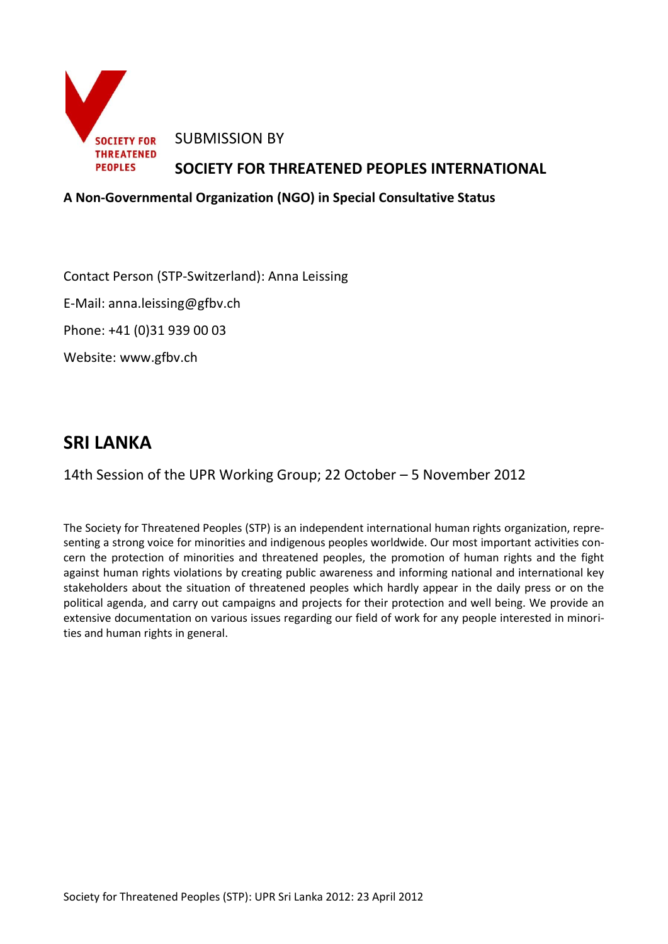

#### **A Non-Governmental Organization (NGO) in Special Consultative Status**

Contact Person (STP-Switzerland): Anna Leissing

E-Mail: anna.leissing@gfbv.ch

Phone: +41 (0)31 939 00 03

Website: www.gfbv.ch

# **SRI LANKA**

14th Session of the UPR Working Group; 22 October – 5 November 2012

The Society for Threatened Peoples (STP) is an independent international human rights organization, representing a strong voice for minorities and indigenous peoples worldwide. Our most important activities concern the protection of minorities and threatened peoples, the promotion of human rights and the fight against human rights violations by creating public awareness and informing national and international key stakeholders about the situation of threatened peoples which hardly appear in the daily press or on the political agenda, and carry out campaigns and projects for their protection and well being. We provide an extensive documentation on various issues regarding our field of work for any people interested in minorities and human rights in general.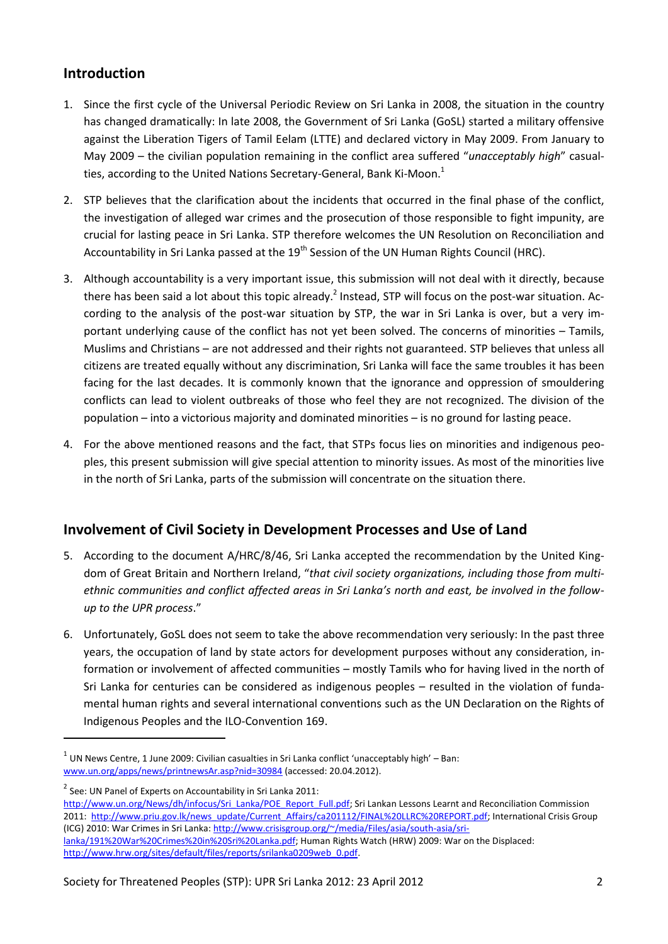## **Introduction**

- 1. Since the first cycle of the Universal Periodic Review on Sri Lanka in 2008, the situation in the country has changed dramatically: In late 2008, the Government of Sri Lanka (GoSL) started a military offensive against the Liberation Tigers of Tamil Eelam (LTTE) and declared victory in May 2009. From January to May 2009 – the civilian population remaining in the conflict area suffered "*unacceptably high*" casualties, according to the United Nations Secretary-General, Bank Ki-Moon.<sup>1</sup>
- 2. STP believes that the clarification about the incidents that occurred in the final phase of the conflict, the investigation of alleged war crimes and the prosecution of those responsible to fight impunity, are crucial for lasting peace in Sri Lanka. STP therefore welcomes the UN Resolution on Reconciliation and Accountability in Sri Lanka passed at the 19<sup>th</sup> Session of the UN Human Rights Council (HRC).
- 3. Although accountability is a very important issue, this submission will not deal with it directly, because there has been said a lot about this topic already.<sup>2</sup> Instead, STP will focus on the post-war situation. According to the analysis of the post-war situation by STP, the war in Sri Lanka is over, but a very important underlying cause of the conflict has not yet been solved. The concerns of minorities – Tamils, Muslims and Christians – are not addressed and their rights not guaranteed. STP believes that unless all citizens are treated equally without any discrimination, Sri Lanka will face the same troubles it has been facing for the last decades. It is commonly known that the ignorance and oppression of smouldering conflicts can lead to violent outbreaks of those who feel they are not recognized. The division of the population – into a victorious majority and dominated minorities – is no ground for lasting peace.
- 4. For the above mentioned reasons and the fact, that STPs focus lies on minorities and indigenous peoples, this present submission will give special attention to minority issues. As most of the minorities live in the north of Sri Lanka, parts of the submission will concentrate on the situation there.

## **Involvement of Civil Society in Development Processes and Use of Land**

- 5. According to the document A/HRC/8/46, Sri Lanka accepted the recommendation by the United Kingdom of Great Britain and Northern Ireland, "*that civil society organizations, including those from multiethnic communities and conflict affected areas in Sri Lanka's north and east, be involved in the followup to the UPR process*."
- 6. Unfortunately, GoSL does not seem to take the above recommendation very seriously: In the past three years, the occupation of land by state actors for development purposes without any consideration, information or involvement of affected communities – mostly Tamils who for having lived in the north of Sri Lanka for centuries can be considered as indigenous peoples – resulted in the violation of fundamental human rights and several international conventions such as the UN Declaration on the Rights of Indigenous Peoples and the ILO-Convention 169.

1

 $<sup>1</sup>$  UN News Centre, 1 June 2009: Civilian casualties in Sri Lanka conflict 'unacceptably high' – Ban:</sup> [www.un.org/apps/news/printnewsAr.asp?nid=30984](http://www.un.org/apps/news/printnewsAr.asp?nid=30984) (accessed: 20.04.2012).

 $2^{2}$  See: UN Panel of Experts on Accountability in Sri Lanka 2011:

[http://www.un.org/News/dh/infocus/Sri\\_Lanka/POE\\_Report\\_Full.pdf;](http://www.un.org/News/dh/infocus/Sri_Lanka/POE_Report_Full.pdf) Sri Lankan Lessons Learnt and Reconciliation Commission 2011: [http://www.priu.gov.lk/news\\_update/Current\\_Affairs/ca201112/FINAL%20LLRC%20REPORT.pdf;](http://www.priu.gov.lk/news_update/Current_Affairs/ca201112/FINAL%20LLRC%20REPORT.pdf) International Crisis Group (ICG) 2010: War Crimes in Sri Lanka[: http://www.crisisgroup.org/~/media/Files/asia/south-asia/sri](http://www.crisisgroup.org/~/media/Files/asia/south-asia/sri-lanka/191%20War%20Crimes%20in%20Sri%20Lanka.pdf)[lanka/191%20War%20Crimes%20in%20Sri%20Lanka.pdf;](http://www.crisisgroup.org/~/media/Files/asia/south-asia/sri-lanka/191%20War%20Crimes%20in%20Sri%20Lanka.pdf) Human Rights Watch (HRW) 2009: War on the Displaced: [http://www.hrw.org/sites/default/files/reports/srilanka0209web\\_0.pdf.](http://www.hrw.org/sites/default/files/reports/srilanka0209web_0.pdf)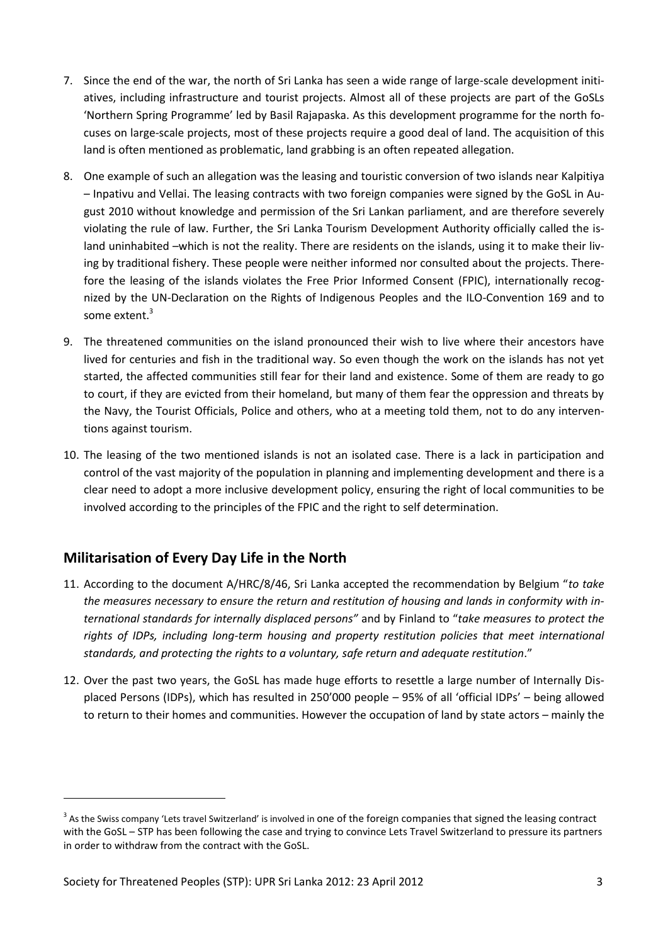- 7. Since the end of the war, the north of Sri Lanka has seen a wide range of large-scale development initiatives, including infrastructure and tourist projects. Almost all of these projects are part of the GoSLs 'Northern Spring Programme' led by Basil Rajapaska. As this development programme for the north focuses on large-scale projects, most of these projects require a good deal of land. The acquisition of this land is often mentioned as problematic, land grabbing is an often repeated allegation.
- 8. One example of such an allegation was the leasing and touristic conversion of two islands near Kalpitiya – Inpativu and Vellai. The leasing contracts with two foreign companies were signed by the GoSL in August 2010 without knowledge and permission of the Sri Lankan parliament, and are therefore severely violating the rule of law. Further, the Sri Lanka Tourism Development Authority officially called the island uninhabited –which is not the reality. There are residents on the islands, using it to make their living by traditional fishery. These people were neither informed nor consulted about the projects. Therefore the leasing of the islands violates the Free Prior Informed Consent (FPIC), internationally recognized by the UN-Declaration on the Rights of Indigenous Peoples and the ILO-Convention 169 and to some extent.<sup>3</sup>
- 9. The threatened communities on the island pronounced their wish to live where their ancestors have lived for centuries and fish in the traditional way. So even though the work on the islands has not yet started, the affected communities still fear for their land and existence. Some of them are ready to go to court, if they are evicted from their homeland, but many of them fear the oppression and threats by the Navy, the Tourist Officials, Police and others, who at a meeting told them, not to do any interventions against tourism.
- 10. The leasing of the two mentioned islands is not an isolated case. There is a lack in participation and control of the vast majority of the population in planning and implementing development and there is a clear need to adopt a more inclusive development policy, ensuring the right of local communities to be involved according to the principles of the FPIC and the right to self determination.

## **Militarisation of Every Day Life in the North**

**.** 

- 11. According to the document A/HRC/8/46, Sri Lanka accepted the recommendation by Belgium "*to take the measures necessary to ensure the return and restitution of housing and lands in conformity with international standards for internally displaced persons"* and by Finland to "*take measures to protect the rights of IDPs, including long-term housing and property restitution policies that meet international standards, and protecting the rights to a voluntary, safe return and adequate restitution*."
- 12. Over the past two years, the GoSL has made huge efforts to resettle a large number of Internally Displaced Persons (IDPs), which has resulted in 250'000 people – 95% of all 'official IDPs' – being allowed to return to their homes and communities. However the occupation of land by state actors – mainly the

 $3$  As the Swiss company 'Lets travel Switzerland' is involved in one of the foreign companies that signed the leasing contract with the GoSL – STP has been following the case and trying to convince Lets Travel Switzerland to pressure its partners in order to withdraw from the contract with the GoSL.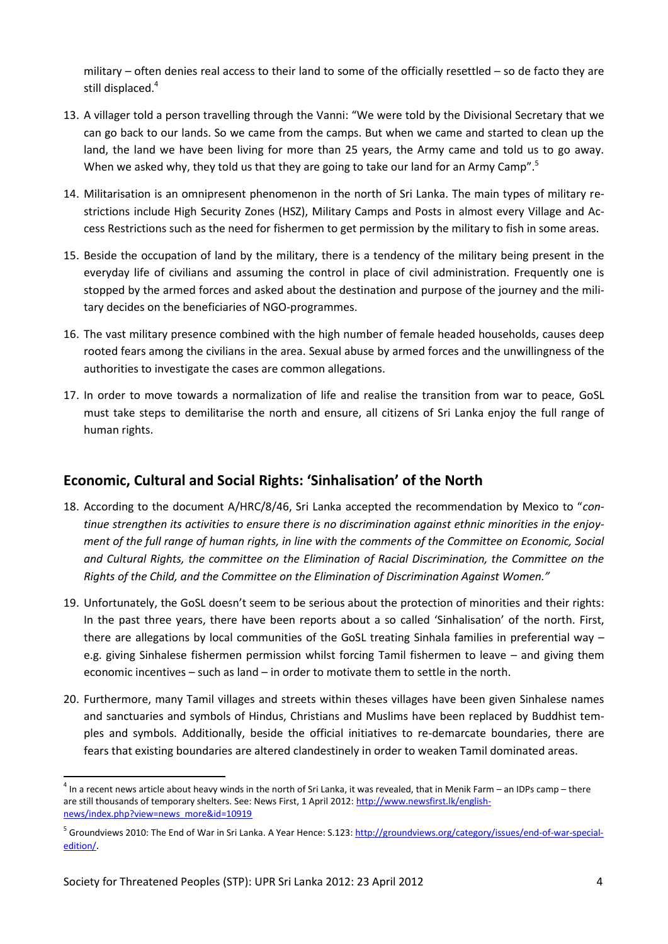military – often denies real access to their land to some of the officially resettled – so de facto they are still displaced.<sup>4</sup>

- 13. A villager told a person travelling through the Vanni: "We were told by the Divisional Secretary that we can go back to our lands. So we came from the camps. But when we came and started to clean up the land, the land we have been living for more than 25 years, the Army came and told us to go away. When we asked why, they told us that they are going to take our land for an Army Camp".<sup>5</sup>
- 14. Militarisation is an omnipresent phenomenon in the north of Sri Lanka. The main types of military restrictions include High Security Zones (HSZ), Military Camps and Posts in almost every Village and Access Restrictions such as the need for fishermen to get permission by the military to fish in some areas.
- 15. Beside the occupation of land by the military, there is a tendency of the military being present in the everyday life of civilians and assuming the control in place of civil administration. Frequently one is stopped by the armed forces and asked about the destination and purpose of the journey and the military decides on the beneficiaries of NGO-programmes.
- 16. The vast military presence combined with the high number of female headed households, causes deep rooted fears among the civilians in the area. Sexual abuse by armed forces and the unwillingness of the authorities to investigate the cases are common allegations.
- 17. In order to move towards a normalization of life and realise the transition from war to peace, GoSL must take steps to demilitarise the north and ensure, all citizens of Sri Lanka enjoy the full range of human rights.

### **Economic, Cultural and Social Rights: 'Sinhalisation' of the North**

- 18. According to the document A/HRC/8/46, Sri Lanka accepted the recommendation by Mexico to "*continue strengthen its activities to ensure there is no discrimination against ethnic minorities in the enjoyment of the full range of human rights, in line with the comments of the Committee on Economic, Social and Cultural Rights, the committee on the Elimination of Racial Discrimination, the Committee on the Rights of the Child, and the Committee on the Elimination of Discrimination Against Women."*
- 19. Unfortunately, the GoSL doesn't seem to be serious about the protection of minorities and their rights: In the past three years, there have been reports about a so called 'Sinhalisation' of the north. First, there are allegations by local communities of the GoSL treating Sinhala families in preferential way – e.g. giving Sinhalese fishermen permission whilst forcing Tamil fishermen to leave – and giving them economic incentives – such as land – in order to motivate them to settle in the north.
- 20. Furthermore, many Tamil villages and streets within theses villages have been given Sinhalese names and sanctuaries and symbols of Hindus, Christians and Muslims have been replaced by Buddhist temples and symbols. Additionally, beside the official initiatives to re-demarcate boundaries, there are fears that existing boundaries are altered clandestinely in order to weaken Tamil dominated areas.

**.** 

 $^4$  In a recent news article about heavy winds in the north of Sri Lanka, it was revealed, that in Menik Farm – an IDPs camp – there are still thousands of temporary shelters. See: News First, 1 April 2012[: http://www.newsfirst.lk/english](http://www.newsfirst.lk/english-news/index.php?view=news_more&id=10919)[news/index.php?view=news\\_more&id=10919](http://www.newsfirst.lk/english-news/index.php?view=news_more&id=10919)

<sup>&</sup>lt;sup>5</sup> Groundviews 2010: The End of War in Sri Lanka. A Year Hence: S.123: [http://groundviews.org/category/issues/end-of-war-special](http://groundviews.org/category/issues/end-of-war-special-edition/)[edition/](http://groundviews.org/category/issues/end-of-war-special-edition/).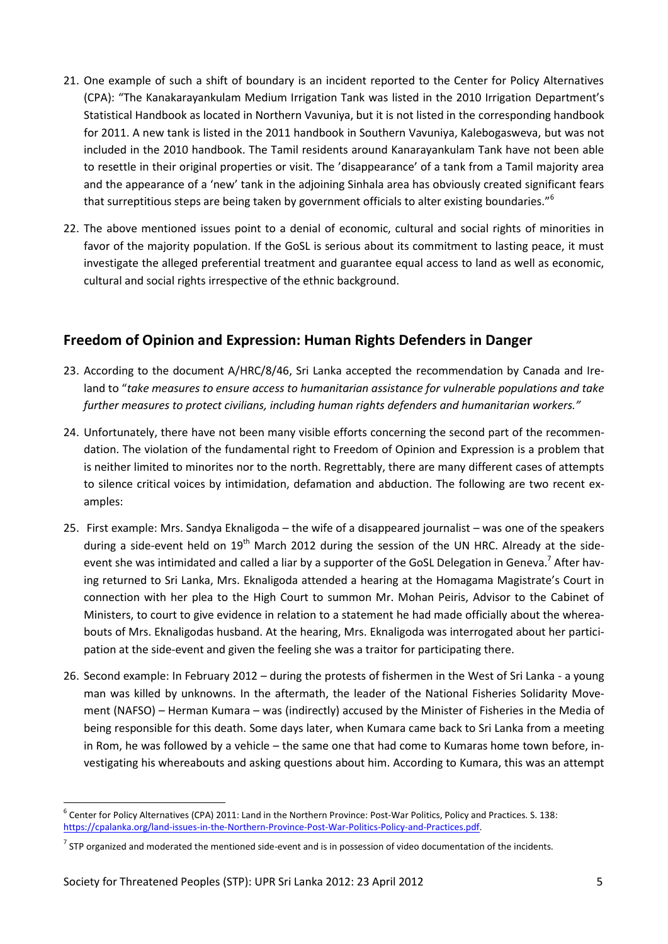- 21. One example of such a shift of boundary is an incident reported to the Center for Policy Alternatives (CPA): "The Kanakarayankulam Medium Irrigation Tank was listed in the 2010 Irrigation Department's Statistical Handbook as located in Northern Vavuniya, but it is not listed in the corresponding handbook for 2011. A new tank is listed in the 2011 handbook in Southern Vavuniya, Kalebogasweva, but was not included in the 2010 handbook. The Tamil residents around Kanarayankulam Tank have not been able to resettle in their original properties or visit. The 'disappearance' of a tank from a Tamil majority area and the appearance of a 'new' tank in the adjoining Sinhala area has obviously created significant fears that surreptitious steps are being taken by government officials to alter existing boundaries."<sup>6</sup>
- 22. The above mentioned issues point to a denial of economic, cultural and social rights of minorities in favor of the majority population. If the GoSL is serious about its commitment to lasting peace, it must investigate the alleged preferential treatment and guarantee equal access to land as well as economic, cultural and social rights irrespective of the ethnic background.

#### **Freedom of Opinion and Expression: Human Rights Defenders in Danger**

- 23. According to the document A/HRC/8/46, Sri Lanka accepted the recommendation by Canada and Ireland to "*take measures to ensure access to humanitarian assistance for vulnerable populations and take further measures to protect civilians, including human rights defenders and humanitarian workers."*
- 24. Unfortunately, there have not been many visible efforts concerning the second part of the recommendation. The violation of the fundamental right to Freedom of Opinion and Expression is a problem that is neither limited to minorites nor to the north. Regrettably, there are many different cases of attempts to silence critical voices by intimidation, defamation and abduction. The following are two recent examples:
- 25. First example: Mrs. Sandya Eknaligoda the wife of a disappeared journalist was one of the speakers during a side-event held on 19<sup>th</sup> March 2012 during the session of the UN HRC. Already at the sideevent she was intimidated and called a liar by a supporter of the GoSL Delegation in Geneva.<sup>7</sup> After having returned to Sri Lanka, Mrs. Eknaligoda attended a hearing at the Homagama Magistrate's Court in connection with her plea to the High Court to summon Mr. Mohan Peiris, Advisor to the Cabinet of Ministers, to court to give evidence in relation to a statement he had made officially about the whereabouts of Mrs. Eknaligodas husband. At the hearing, Mrs. Eknaligoda was interrogated about her participation at the side-event and given the feeling she was a traitor for participating there.
- 26. Second example: In February 2012 during the protests of fishermen in the West of Sri Lanka a young man was killed by unknowns. In the aftermath, the leader of the National Fisheries Solidarity Movement (NAFSO) – Herman Kumara – was (indirectly) accused by the Minister of Fisheries in the Media of being responsible for this death. Some days later, when Kumara came back to Sri Lanka from a meeting in Rom, he was followed by a vehicle – the same one that had come to Kumaras home town before, investigating his whereabouts and asking questions about him. According to Kumara, this was an attempt

<sup>1</sup> <sup>6</sup> Center for Policy Alternatives (CPA) 2011: Land in the Northern Province: Post-War Politics, Policy and Practices. S. 138: [https://cpalanka.org/land-issues-in-the-Northern-Province-Post-War-Politics-Policy-and-Practices.pdf.](https://cpalanka.org/land-issues-in-the-Northern-Province-Post-War-Politics-Policy-and-Practices.pdf) 

 $^7$  STP organized and moderated the mentioned side-event and is in possession of video documentation of the incidents.